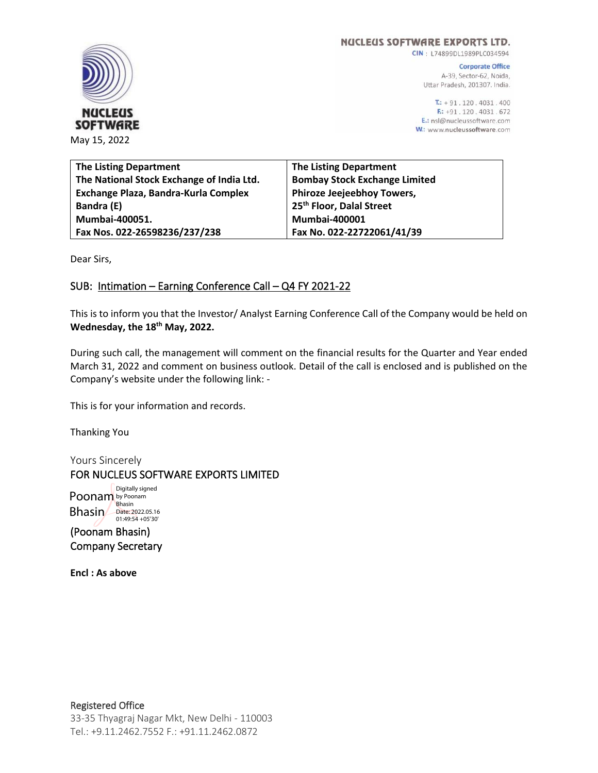

**NUCLEUS SOFTWARE EXPORTS LTD.** 

CIN: L74899DL1989PLC034594

**Corporate Office** A-39, Sector-62, Noida, Uttar Pradesh, 201307. India.

 $T: +91.120.4031.400$ F: +91.120.4031.672 E.: nsl@nucleussoftware.com W.: www.nucleussoftware.com

| <b>The Listing Department</b>             | <b>The Listing Department</b>        |
|-------------------------------------------|--------------------------------------|
| The National Stock Exchange of India Ltd. | <b>Bombay Stock Exchange Limited</b> |
| Exchange Plaza, Bandra-Kurla Complex      | <b>Phiroze Jeejeebhoy Towers,</b>    |
| Bandra (E)                                | 25 <sup>th</sup> Floor, Dalal Street |
| Mumbai-400051.                            | <b>Mumbai-400001</b>                 |
| Fax Nos. 022-26598236/237/238             | Fax No. 022-22722061/41/39           |

Dear Sirs,

# SUB: Intimation – Earning Conference Call – Q4 FY 2021-22

This is to inform you that the Investor/ Analyst Earning Conference Call of the Company would be held on **Wednesday, the 18th May, 2022.**

During such call, the management will comment on the financial results for the Quarter and Year ended March 31, 2022 and comment on business outlook. Detail of the call is enclosed and is published on the Company's website under the following link: -

This is for your information and records.

Thanking You

Yours Sincerely FOR NUCLEUS SOFTWARE EXPORTS LIMITED

Poonam by Poonam Bhasin<br>Bhasin Date: 2022.05.16<br>
01:49:54 +05'30' Digitally signed

(Poonam Bhasin) Company Secretary

**Encl : As above**

## Registered Office

33-35 Thyagraj Nagar Mkt, New Delhi - 110003 Tel.: +9.11.2462.7552 F.: +91.11.2462.0872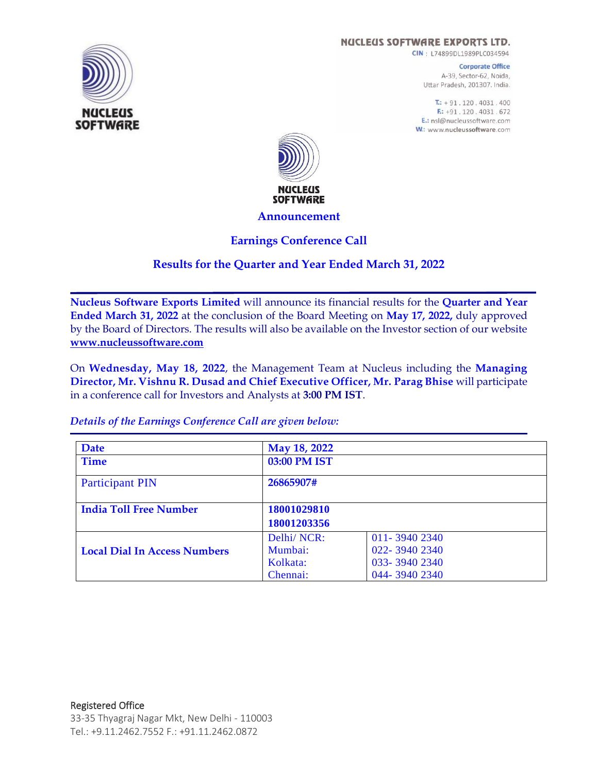#### **NUCLEUS SOFTWARE EXPORTS LTD.**

CIN: L74899DL1989PLC034594

**Corporate Office** A-39, Sector-62, Noida, Uttar Pradesh, 201307. India.

 $T: +91.120.4031.400$ F: +91.120.4031.672 E.: nsl@nucleussoftware.com W.: www.nucleussoftware.com



#### **Announcement**

## **Earnings Conference Call**

## **Results for the Quarter and Year Ended March 31, 2022**

**Nucleus Software Exports Limited** will announce its financial results for the **Quarter and Year Ended March 31, 2022** at the conclusion of the Board Meeting on **May 17, 2022,** duly approved by the Board of Directors. The results will also be available on the Investor section of our website **[www.nucleussoftware.com](http://www.nucleussoftware.com/)**

On **Wednesday, May 18, 2022**, the Management Team at Nucleus including the **Managing Director, Mr. Vishnu R. Dusad and Chief Executive Officer, Mr. Parag Bhise** will participate in a conference call for Investors and Analysts at **3:00 PM IST**.

| Date                                | May 18, 2022 |              |  |
|-------------------------------------|--------------|--------------|--|
| <b>Time</b>                         | 03:00 PM IST |              |  |
| <b>Participant PIN</b>              | 26865907#    |              |  |
| <b>India Toll Free Number</b>       | 18001029810  |              |  |
|                                     | 18001203356  |              |  |
|                                     | Delhi/NCR:   | 011-39402340 |  |
| <b>Local Dial In Access Numbers</b> | Mumbai:      | 022-39402340 |  |
|                                     | Kolkata:     | 033-39402340 |  |
|                                     | Chennai:     | 044-39402340 |  |

*Details of the Earnings Conference Call are given below:*